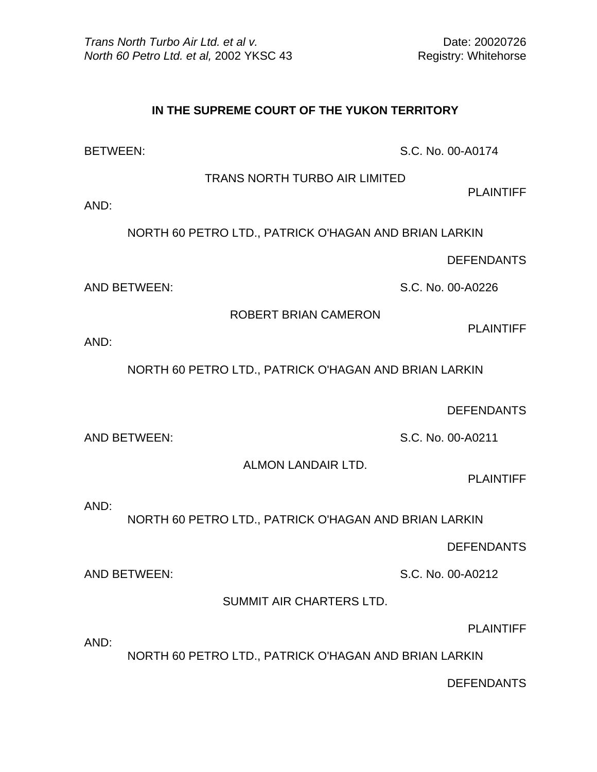## **IN THE SUPREME COURT OF THE YUKON TERRITORY**

BETWEEN: S.C. No. 00-A0174

TRANS NORTH TURBO AIR LIMITED

PLAINTIFF

AND:

NORTH 60 PETRO LTD., PATRICK O'HAGAN AND BRIAN LARKIN

DEFENDANTS

AND BETWEEN: S.C. No. 00-A0226

ROBERT BRIAN CAMERON

PLAINTIFF

AND:

NORTH 60 PETRO LTD., PATRICK O'HAGAN AND BRIAN LARKIN

DEFENDANTS

AND BETWEEN: S.C. No. 00-A0211

ALMON LANDAIR LTD.

PLAINTIFF

AND:

NORTH 60 PETRO LTD., PATRICK O'HAGAN AND BRIAN LARKIN

DEFENDANTS

AND BETWEEN: S.C. No. 00-A0212

SUMMIT AIR CHARTERS LTD.

PLAINTIFF

AND:

NORTH 60 PETRO LTD., PATRICK O'HAGAN AND BRIAN LARKIN

DEFENDANTS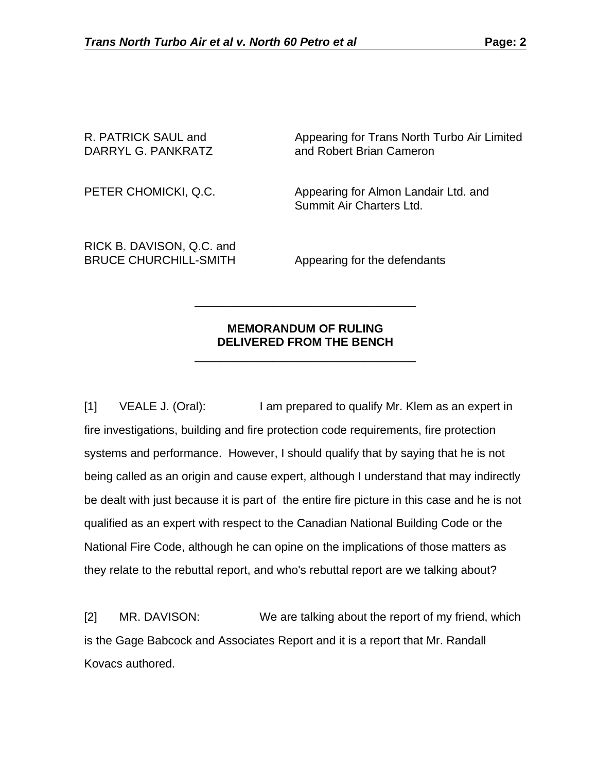R. PATRICK SAUL and **Appearing for Trans North Turbo Air Limited** DARRYL G. PANKRATZ and Robert Brian Cameron

PETER CHOMICKI, Q.C. Appearing for Almon Landair Ltd. and Summit Air Charters Ltd.

RICK B. DAVISON, Q.C. and BRUCE CHURCHILL-SMITH Appearing for the defendants

## **MEMORANDUM OF RULING DELIVERED FROM THE BENCH**

 $\frac{1}{\sqrt{2}}$  ,  $\frac{1}{\sqrt{2}}$  ,  $\frac{1}{\sqrt{2}}$  ,  $\frac{1}{\sqrt{2}}$  ,  $\frac{1}{\sqrt{2}}$  ,  $\frac{1}{\sqrt{2}}$  ,  $\frac{1}{\sqrt{2}}$  ,  $\frac{1}{\sqrt{2}}$  ,  $\frac{1}{\sqrt{2}}$  ,  $\frac{1}{\sqrt{2}}$  ,  $\frac{1}{\sqrt{2}}$  ,  $\frac{1}{\sqrt{2}}$  ,  $\frac{1}{\sqrt{2}}$  ,  $\frac{1}{\sqrt{2}}$  ,  $\frac{1}{\sqrt{2}}$ 

 $\frac{1}{\sqrt{2}}$  ,  $\frac{1}{\sqrt{2}}$  ,  $\frac{1}{\sqrt{2}}$  ,  $\frac{1}{\sqrt{2}}$  ,  $\frac{1}{\sqrt{2}}$  ,  $\frac{1}{\sqrt{2}}$  ,  $\frac{1}{\sqrt{2}}$  ,  $\frac{1}{\sqrt{2}}$  ,  $\frac{1}{\sqrt{2}}$  ,  $\frac{1}{\sqrt{2}}$  ,  $\frac{1}{\sqrt{2}}$  ,  $\frac{1}{\sqrt{2}}$  ,  $\frac{1}{\sqrt{2}}$  ,  $\frac{1}{\sqrt{2}}$  ,  $\frac{1}{\sqrt{2}}$ 

[1] VEALE J. (Oral): I am prepared to qualify Mr. Klem as an expert in fire investigations, building and fire protection code requirements, fire protection systems and performance. However, I should qualify that by saying that he is not being called as an origin and cause expert, although I understand that may indirectly be dealt with just because it is part of the entire fire picture in this case and he is not qualified as an expert with respect to the Canadian National Building Code or the National Fire Code, although he can opine on the implications of those matters as they relate to the rebuttal report, and who's rebuttal report are we talking about?

[2] MR. DAVISON: We are talking about the report of my friend, which is the Gage Babcock and Associates Report and it is a report that Mr. Randall Kovacs authored.